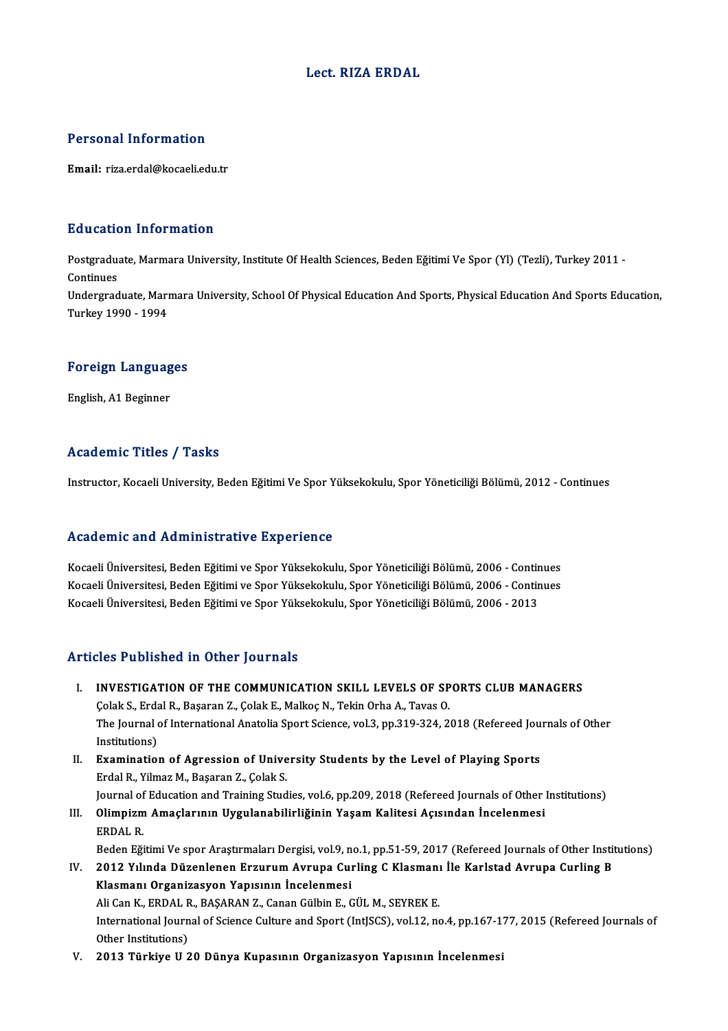#### Lect. RIZA ERDAL

#### Personal Information

Email: riza.erdal@kocaeli.edu.tr

#### Education Information

Education Information<br>Postgraduate, Marmara University, Institute Of Health Sciences, Beden Eğitimi Ve Spor (Yl) (Tezli), Turkey 2011 -<br>Continues Postgradua<br>Continues<br>Undergrad Postgraduate, Marmara University, Institute Of Health Sciences, Beden Eğitimi Ve Spor (Yl) (Tezli), Turkey 2011 -<br>Continues<br>Undergraduate, Marmara University, School Of Physical Education And Sports, Physical Education And

Continues<br>Undergraduate, Marı<br>Turkey 1990 - 1994

## 1980 - 1994<br>Foreign Languages <mark>Foreign Languag</mark><br>English, A1 Beginner

## English, A1 Beginner<br>Academic Titles / Tasks

Instructor, Kocaeli University, Beden Eğitimi Ve Spor Yüksekokulu, Spor Yöneticiliği Bölümü, 2012 - Continues

#### Academic and Administrative Experience

Kocaeli Üniversitesi, Beden Eğitimi ve Spor Yüksekokulu, Spor Yöneticiliği Bölümü, 2006 - Continues rseaa'eriris ana rramministrative Enperience<br>Kocaeli Üniversitesi, Beden Eğitimi ve Spor Yüksekokulu, Spor Yöneticiliği Bölümü, 2006 - Continues<br>Kocaeli Üniversitesi, Beden Eğitimi ve Spor Yüksekokulu, Spor Yöneticiliği Bö Kocaeli Üniversitesi, Beden Eğitimi ve Spor Yüksekokulu, Spor Yöneticiliği Bölümü, 2006 - Contir<br>Kocaeli Üniversitesi, Beden Eğitimi ve Spor Yüksekokulu, Spor Yöneticiliği Bölümü, 2006 - Contir<br>Kocaeli Üniversitesi, Beden Kocaeli Üniversitesi, Beden Eğitimi ve Spor Yüksekokulu, Spor Yöneticiliği Bölümü, 2006 - 2013<br>Articles Published in Other Journals

- I. INVESTIGATION OF THE COMMUNICATION SKILL LEVELS OF SPORTS CLUB MANAGERS THE TRIMITION OF THE COMMUNICATION SKILL LEVELS OF SP<br>Colak S., Erdal R., Başaran Z., Çolak E., Malkoç N., Tekin Orha A., Tavas O.<br>The Jeurnal of International Anatolia Sport Science vol 3 np 310 324 32 INVESTIGATION OF THE COMMUNICATION SKILL LEVELS OF SPORTS CLUB MANAGERS<br>Çolak S., Erdal R., Başaran Z., Çolak E., Malkoç N., Tekin Orha A., Tavas O.<br>The Journal of International Anatolia Sport Science, vol.3, pp.319-324, 2 Colak S., Erda<br>The Journal<br>Institutions)<br>Examination The Journal of International Anatolia Sport Science, vol.3, pp.319-324, 2018 (Refereed Jou<br>Institutions)<br>II. Examination of Agression of University Students by the Level of Playing Sports<br>Erdal B. Vilmar M. Basaran 7, Cola Institutions)<br>II. Examination of Agression of University Students by the Level of Playing Sports<br>Erdal R., Yilmaz M., Başaran Z., Çolak S. Examination of Agression of University Students by the Level of Playing Sports<br>Erdal R., Yilmaz M., Başaran Z., Çolak S.<br>Journal of Education and Training Studies, vol.6, pp.209, 2018 (Refereed Journals of Other Institutio Erdal R., Yilmaz M., Başaran Z., Çolak S.<br>Journal of Education and Training Studies, vol.6, pp.209, 2018 (Refereed Journals of Other<br>III. Olimpizm Amaçlarının Uygulanabilirliğinin Yaşam Kalitesi Açısından İncelenmesi<br>F
- Journal of<br>Oli<mark>mpizm</mark><br>ERDAL R.<br>Peden F**ö**i Olimpizm Amaçlarının Uygulanabilirliğinin Yaşam Kalitesi Açısından İncelenmesi<br>ERDAL R.<br>Beden Eğitimi Ve spor Araştırmaları Dergisi, vol.9, no.1, pp.51-59, 2017 (Refereed Journals of Other Institutions)<br>2012 Yılında Düzenl ERDAL R.<br>Beden Eğitimi Ve spor Araştırmaları Dergisi, vol.9, no.1, pp.51-59, 2017 (Refereed Journals of Other Instituti<br>IV. 2012 Yılında Düzenlenen Erzurum Avrupa Curling C Klasmanı İle Karlstad Avrupa Curling B<br>Klasmanı O
- Beden Eğitimi Ve spor Araştırmaları Dergisi, vol.9, n<br>2012 Yılında Düzenlenen Erzurum Avrupa Cuı<br>Klasmanı Organizasyon Yapısının İncelenmesi<br>Ali Can K. EPDAL B. BASARAN Z. Canan Cülbin E. G 2012 Yılında Düzenlenen Erzurum Avrupa Curling C Klasmanı İle Karlstad Avrupa Curling B<br>Klasmanı Organizasyon Yapısının İncelenmesi International Journal of Science Culture and Sport (IntJSCS), vol.12, no.4, pp.167-177, 2015 (Refereed Journals of Other Institutions) Ali Can K., ERDAL R., BAŞARAN Z., Canan Gülbin E., GÜL M., SEYREK E.
- V. 2013 Türkiye U 20 Dünya Kupasının Organizasyon Yapısının İncelenmesi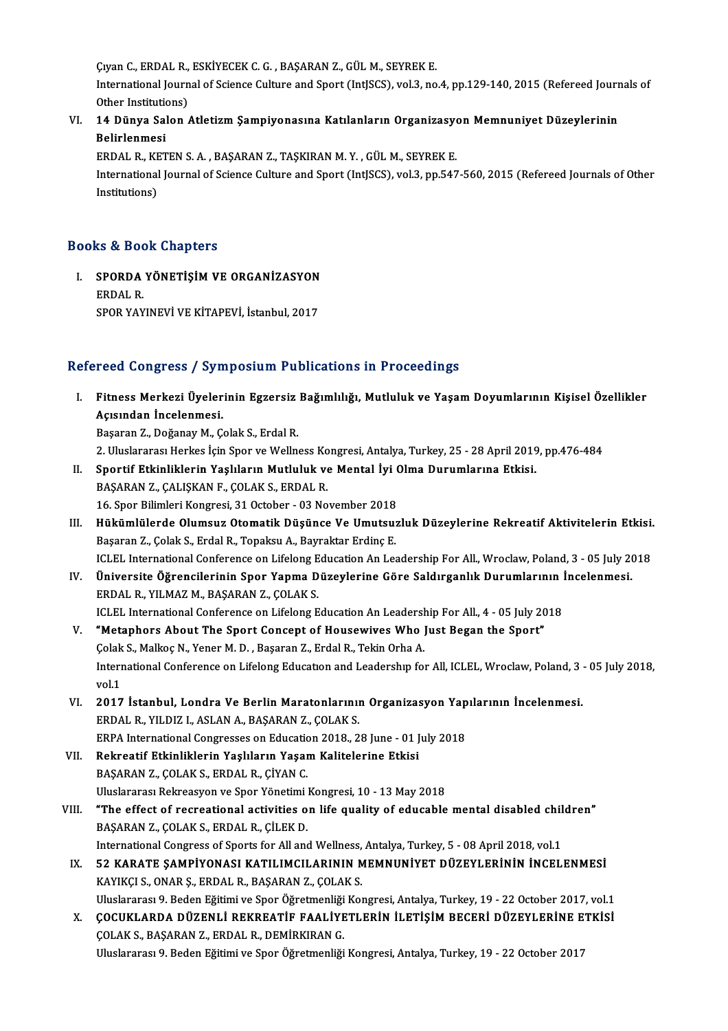Çıyan C., ERDAL R., ESKİYECEK C. G. , BAŞARAN Z., GÜL M., SEYREK E.<br>International Journal of Science Culture and Sport (IntISCS), val 3, no

International Journal of Science Culture and Sport (IntJSCS), vol.3, no.4, pp.129-140, 2015 (Refereed Journals of Other Institutions) Ciyan C., ERDAL R.,<br>International Journ<br>Other Institutions)<br>14 Dünye Selen International Journal of Science Culture and Sport (IntJSCS), vol.3, no.4, pp.129-140, 2015 (Refereed Journ<br>Other Institutions)<br>VI. 14 Dünya Salon Atletizm Şampiyonasına Katılanların Organizasyon Memnuniyet Düzeylerinin<br>Pa

### Other Institution<br>14 Dünya Sal<br>Belirlenmesi<br>EPDAL BLKET 14 Dünya Salon Atletizm Şampiyonasına Katılanların Organizasyo<br>Belirlenmesi<br>ERDAL R., KETEN S.A., BAŞARAN Z., TAŞKIRAN M.Y., GÜL M., SEYREK E.<br>International Journal of Science Culture and Sport (IntISCS), vol 3, np 547

Belirlenmesi<br>ERDAL R., KETEN S. A. , BAŞARAN Z., TAŞKIRAN M. Y. , GÜL M., SEYREK E.<br>International Journal of Science Culture and Sport (IntJSCS), vol.3, pp.547-560, 2015 (Refereed Journals of Other<br>Institutions) ERDAL R., KETEN S. A., BAŞARAN Z., TAŞKIRAN M. Y., GÜL M., SEYREK E.

### Books&Book Chapters

ooks & Book Chapters<br>I. SPORDA YÖNETİŞİM VE ORGANİZASYON<br>FRDAL R SPORDA<br>ERDAL R.<br>SPOR VAY SPORDA YÖNETİŞİM VE ORGANİZASYON<br>ERDAL R.<br>SPOR YAYINEVİ VE KİTAPEVİ, İstanbul, 2017

# SPOR YAYINEVİ VE KİTAPEVİ, İstanbul, 2017<br>Refereed Congress / Symposium Publications in Proceedings

efereed Congress / Symposium Publications in Proceedings<br>I. Fitness Merkezi Üyelerinin Egzersiz Bağımlılığı, Mutluluk ve Yaşam Doyumlarının Kişisel Özellikler<br>Asısından İnselenmesi Accord Congress / Cyn<br>Fitness Merkezi Üyeler<br>Açısından İncelenmesi.<br>Basaran 7. Doğanay M. G Fitness Merkezi Üyelerinin Egzersiz<br>Açısından İncelenmesi.<br>Başaran Z., Doğanay M., Çolak S., Erdal R.<br>2. Uluelararası Harkes İsin Spor ve Welln Açısından İncelenmesi.<br>Başaran Z., Doğanay M., Çolak S., Erdal R.<br>2. Uluslararası Herkes İçin Spor ve Wellness Kongresi, Antalya, Turkey, 25 - 28 April 2019, pp.476-484<br>Sportif Etkinliklerin Yaskların Mutluluk ve Montal İy

- Başaran Z., Doğanay M., Çolak S., Erdal R.<br>2. Uluslararası Herkes İçin Spor ve Wellness Kongresi, Antalya, Turkey, 25 28 April 2019<br>11. Sportif Etkinliklerin Yaşlıların Mutluluk ve Mental İyi Olma Durumlarına Etkisi.<br>PAS 2. Uluslararası Herkes İçin Spor ve Wellness Ko<br>Sportif Etkinliklerin Yaşlıların Mutluluk ve<br>BAŞARAN Z., ÇALIŞKAN F., ÇOLAK S., ERDAL R.<br>16. Spor Bilimleri Kongresi, 31 Ostober, 03 Ne II. Sportif Etkinliklerin Yaşlıların Mutluluk ve Mental İyi Olma Durumlarına Etkisi.<br>BAŞARAN Z., ÇALIŞKAN F., ÇOLAK S., ERDAL R.<br>16. Spor Bilimleri Kongresi, 31 October - 03 November 2018
- BAŞARAN Z., ÇALIŞKAN F., ÇOLAK S., ERDAL R.<br>16. Spor Bilimleri Kongresi, 31 October 03 November 2018<br>III. Hükümlülerde Olumsuz Otomatik Düşünce Ve Umutsuzluk Düzeylerine Rekreatif Aktivitelerin Etkisi.<br>Besaran 7. Cal 16. Spor Bilimleri Kongresi, 31 October - 03 November 2018<br>Hükümlülerde Olumsuz Otomatik Düşünce Ve Umutsu:<br>Başaran Z., Çolak S., Erdal R., Topaksu A., Bayraktar Erdinç E.<br>ICLEL International Conference on Lifelang Educati Hükümlülerde Olumsuz Otomatik Düşünce Ve Umutsuzluk Düzeylerine Rekreatif Aktivitelerin Etkisi.<br>Başaran Z., Çolak S., Erdal R., Topaksu A., Bayraktar Erdinç E.<br>ICLEL International Conference on Lifelong Education An Leader Başaran Z., Çolak S., Erdal R., Topaksu A., Bayraktar Erdinç E.<br>ICLEL International Conference on Lifelong Education An Leadership For All., Wroclaw, Poland, 3 - 05 July 20<br>IV. Üniversite Öğrencilerinin Spor Yapma Düze
- ICLEL International Conference on Lifelong Education An Leadership For All., Wroclaw, Poland, 3 05 July 2018<br>Üniversite Öğrencilerinin Spor Yapma Düzeylerine Göre Saldırganlık Durumlarının İncelenmesi.<br>ERDAL R., YILMAZ M Üniversite Öğrencilerinin Spor Yapma Düzeylerine Göre Saldırganlık Durumlarının İ<br>ERDAL R., YILMAZ M., BAŞARAN Z., ÇOLAK S.<br>ICLEL International Conference on Lifelong Education An Leadership For All., 4 - 05 July 2018<br>"Mat
- V. "Metaphors About The Sport Concept of Housewives Who Just Began the Sport" ICLEL International Conference on Lifelong Education An Leadersh<br>**"Metaphors About The Sport Concept of Housewives Who** ]<br>Çolak S., Malkoç N., Yener M. D. , Başaran Z., Erdal R., Tekin Orha A.<br>International Conference on L International Conference on Lifelong Education and Leadership for All, ICLEL, Wroclaw, Poland, 3 - 05 July 2018, vol.1 Colak<br>Interr<br>vol.1<br>2017 International Conference on Lifelong Education and Leadership for All, ICLEL, Wroclaw, Poland, 3<br>vol.1<br>VI. 2017 İstanbul, Londra Ve Berlin Maratonlarının Organizasyon Yapılarının İncelenmesi.<br>EPDAL P. VILDIZ LASLAN A. PASA
- vol.1<br>2017 İstanbul, Londra Ve Berlin Maratonlarınıı<br>ERDAL R., YILDIZ I., ASLAN A., BAŞARAN Z., ÇOLAK S.<br>ERRA International Congresses en Education 2018-2 2017 İstanbul, Londra Ve Berlin Maratonlarının Organizasyon Yap<br>ERDAL R., YILDIZ I., ASLAN A., BAŞARAN Z., ÇOLAK S.<br>ERPA International Congresses on Education 2018., 28 June - 01 July 2018<br>Pekreatif Etkinliklerin Yaslıları ERDAL R., YILDIZ I., ASLAN A., BAŞARAN Z., ÇOLAK S.<br>ERPA International Congresses on Education 2018., 28 June - 01 J<br>VII. Rekreatif Etkinliklerin Yaşlıların Yaşam Kalitelerine Etkisi<br>PASARAN Z. COLAK S. ERDAL R. CİVAN C.
- ERPA International Congresses on Education<br>Rekreatif Etkinliklerin Yaşlıların Yaşar<br>BAŞARAN Z., ÇOLAK S., ERDAL R., ÇİYAN C.<br>Uluslararası Belmessvon ve Spor Vänetimi BAŞARAN Z., ÇOLAK S., ERDAL R., ÇİYAN C.<br>Uluslararası Rekreasyon ve Spor Yönetimi Kongresi, 10 - 13 May 2018
- BAŞARAN Z., ÇOLAK S., ERDAL R., ÇİYAN C.<br>Uluslararası Rekreasyon ve Spor Yönetimi Kongresi, 10 13 May 2018<br>VIII. "The effect of recreational activities on life quality of educable mental disabled children"<br>RASARAN Z. COL Uluslararası Rekreasyon ve Spor Yönetimi<br>**"The effect of recreational activities o**<br>BAŞARAN Z., ÇOLAK S., ERDAL R., ÇİLEK D.<br>International Consuese of Sports for All ans "The effect of recreational activities on life quality of educable mental disabled chil<br>BAŞARAN Z., ÇOLAK S., ERDAL R., ÇİLEK D.<br>International Congress of Sports for All and Wellness, Antalya, Turkey, 5 - 08 April 2018, vo BAŞARAN Z., ÇOLAK S., ERDAL R., ÇİLEK D.<br>International Congress of Sports for All and Wellness, Antalya, Turkey, 5 - 08 April 2018, vol.1<br>IX. 52 KARATE ŞAMPİYONASI KATILIMCILARININ MEMNUNİYET DÜZEYLERİNİN İNCELENMESİ<br>KAYIK
- International Congress of Sports for All and Wellness,<br>52 KARATE ŞAMPİYONASI KATILIMCILARININ M<br>KAYIKÇI S., ONAR Ş., ERDAL R., BAŞARAN Z., ÇOLAK S.<br>Uluslararası 9. Badan Eğitimi ve Spor Öğretmenliği Kat 52 KARATE ŞAMPİYONASI KATILIMCILARININ MEMNUNİYET DÜZEYLERİNİN İNCELENMESİ<br>KAYIKÇI S., ONAR Ş., ERDAL R., BAŞARAN Z., ÇOLAK S.<br>Uluslararası 9. Beden Eğitimi ve Spor Öğretmenliği Kongresi, Antalya, Turkey, 19 - 22 October 2 KAYIKÇI S., ONAR Ş., ERDAL R., BAŞARAN Z., ÇOLAK S.<br>19 Uluslararası 9. Beden Eğitimi ve Spor Öğretmenliği Kongresi, Antalya, Turkey, 19 - 22 October 2017, vol.1<br>20 X. ÇOCUKLARDA DÜZENLİ REKREATİF FAALİYETLERİN İLETİŞİM
- ÇOLAK S., BAŞARAN Z., ERDAL R., DEMİRKIRAN G. Uluslararası 9. Beden Eğitimi ve Spor Öğretmenliği Kongresi, Antalya, Turkey, 19 - 22 October 2017